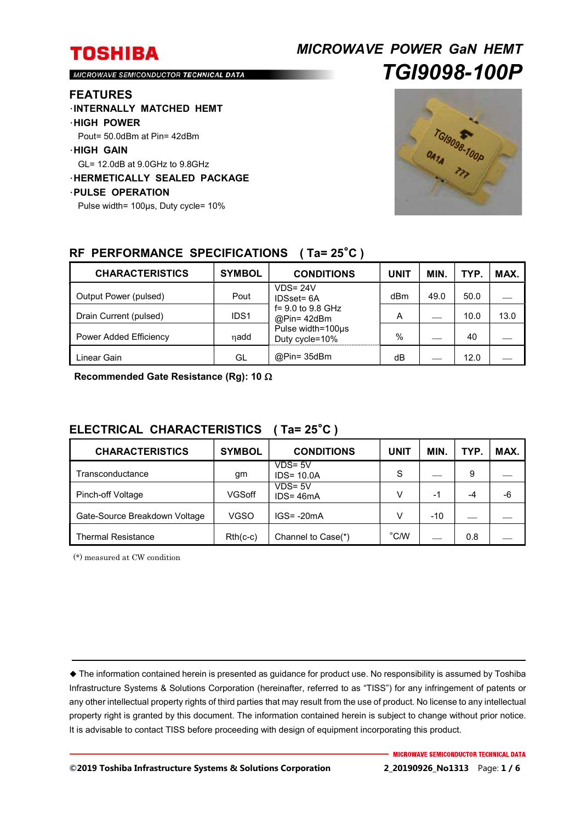# *MICROWAVE POWER GaN HEMT TGI9098-100P*

MICROWAVE SEMICONDUCTOR TECHNICAL DATA

#### **FEATURES**

- ・**INTERNALLY MATCHED HEMT**
- ・**HIGH POWER**
- Pout= 50.0dBm at Pin= 42dBm
- ・**HIGH GAIN**
- GL= 12.0dB at 9.0GHz to 9.8GHz
- ・**HERMETICALLY SEALED PACKAGE**
- ・**PULSE OPERATION** 
	- Pulse width= 100μs, Duty cycle= 10%



## **RF PERFORMANCE SPECIFICATIONS ( Ta= 25**°**C )**

| <b>CHARACTERISTICS</b> | <b>SYMBOL</b>    | <b>CONDITIONS</b>                                                                                      | <b>UNIT</b> | <b>MIN</b> | TYP. | MAX. |
|------------------------|------------------|--------------------------------------------------------------------------------------------------------|-------------|------------|------|------|
| Output Power (pulsed)  | Pout             | $VDS = 24V$<br>IDSset= 6A<br>$f = 9.0$ to 9.8 GHz<br>@Pin=42dBm<br>Pulse width=100µs<br>Duty cycle=10% | dBm         | 49.0       | 50.0 |      |
| Drain Current (pulsed) | IDS <sub>1</sub> |                                                                                                        | А           |            | 10.0 | 13.0 |
| Power Added Efficiency | nadd             |                                                                                                        | $\%$        |            | 40   |      |
| Linear Gain            | GL               | @Pin= 35dBm                                                                                            | dB          |            | 12.0 |      |

**Recommended Gate Resistance (Rg): 10** 

## **ELECTRICAL CHARACTERISTICS ( Ta= 25**°**C )**

| <b>CHARACTERISTICS</b>        | <b>SYMBOL</b> | <b>CONDITIONS</b>           | UNIT           | <b>MIN</b> | TYP. | MAX. |
|-------------------------------|---------------|-----------------------------|----------------|------------|------|------|
| Transconductance              | gm            | $VDS = 5V$<br>$IDS = 10.0A$ | S              |            | 9    |      |
| Pinch-off Voltage             | VGSoff        | $VDS = 5V$<br>$IDS = 46mA$  | V              | $-1$       | $-4$ | -6   |
| Gate-Source Breakdown Voltage | VGSO          | $IGS = -20mA$               | V              | $-10$      |      |      |
| Thermal Resistance            | $Rth(c-c)$    | Channel to Case(*)          | $^{\circ}$ C/W |            | 0.8  |      |

(\*) measured at CW condition

 The information contained herein is presented as guidance for product use. No responsibility is assumed by Toshiba Infrastructure Systems & Solutions Corporation (hereinafter, referred to as "TISS") for any infringement of patents or any other intellectual property rights of third parties that may result from the use of product. No license to any intellectual property right is granted by this document. The information contained herein is subject to change without prior notice. It is advisable to contact TISS before proceeding with design of equipment incorporating this product.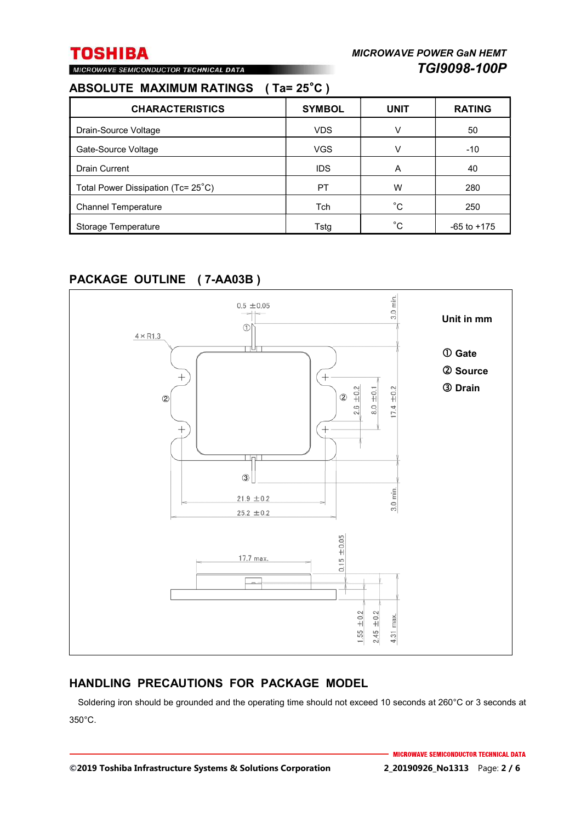## **ABSOLUTE MAXIMUM RATINGS ( Ta= 25**°**C )**

MICROWAVE SEMICONDUCTOR TECHNICAL DATA

| <b>CHARACTERISTICS</b>             | <b>SYMBOL</b> | <b>UNIT</b> | <b>RATING</b>   |
|------------------------------------|---------------|-------------|-----------------|
| Drain-Source Voltage               | <b>VDS</b>    | v           | 50              |
| Gate-Source Voltage                | <b>VGS</b>    | v           | $-10$           |
| <b>Drain Current</b>               | <b>IDS</b>    | A           | 40              |
| Total Power Dissipation (Tc= 25°C) | PT            | W           | 280             |
| <b>Channel Temperature</b>         | Tch           | °С          | 250             |
| Storage Temperature                | Tstg          | °C          | $-65$ to $+175$ |

## **PACKAGE OUTLINE ( 7-AA03B )**



## **HANDLING PRECAUTIONS FOR PACKAGE MODEL**

Soldering iron should be grounded and the operating time should not exceed 10 seconds at 260°C or 3 seconds at 350°C.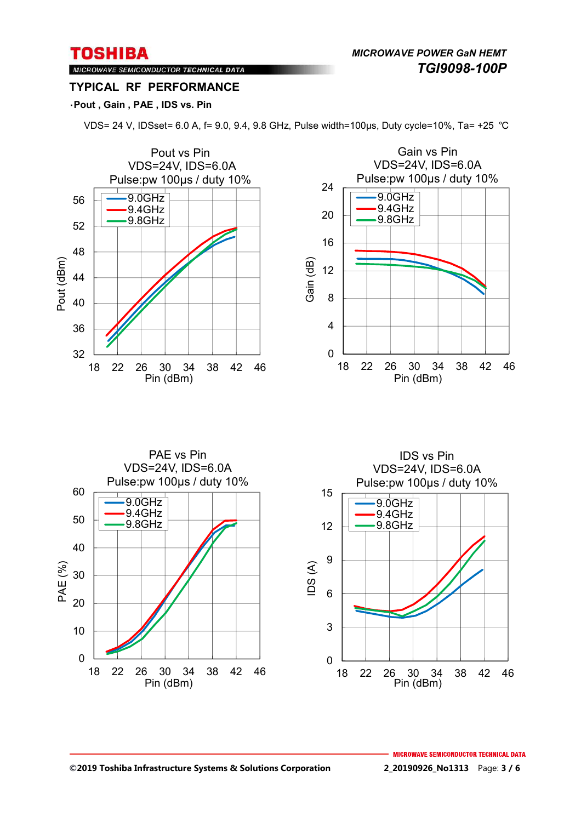*MICROWAVE POWER GaN HEMT TGI9098-100P* 

Gain vs Pin

## MICROWAVE SEMICONDUCTOR TECHNICAL DATA **TYPICAL RF PERFORMANCE**

### ・**Pout , Gain , PAE , IDS vs. Pin**



VDS= 24 V, IDSset= 6.0 A, f= 9.0, 9.4, 9.8 GHz, Pulse width=100μs, Duty cycle=10%, Ta= +25 ℃



Pin (dBm)

 $\Omega$ 10 20 30 40 50 60 18 22 26 30 34 38 42 46 PAE (%) Pin (dBm) PAE vs Pin VDS=24V, IDS=6.0A Pulse:pw 100μs / duty 10% 9.0GHz 9.4GHz 9.8GHz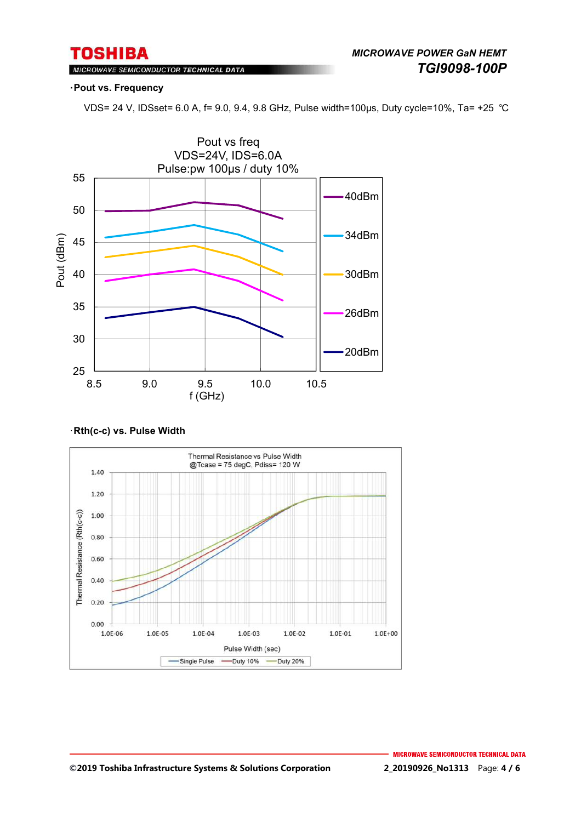## MICROWAVE SEMICONDUCTOR TECHNICAL DATA

#### ・**Pout vs. Frequency**

VDS= 24 V, IDSset= 6.0 A, f= 9.0, 9.4, 9.8 GHz, Pulse width=100μs, Duty cycle=10%, Ta= +25 ℃



#### ・**Rth(c-c) vs. Pulse Width**

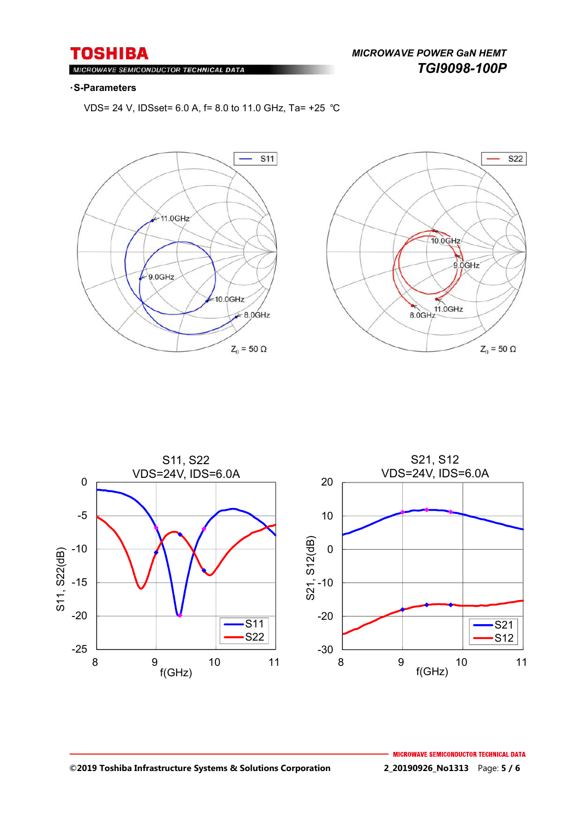*MICROWAVE POWER GaN HEMT TGI9098-100P* 

#### $Ml$ ROWAVE SEMICONDUCTOR TECHNICAL DATA

#### ・**S-Parameters**

VDS= 24 V, IDSset= 6.0 A, f= 8.0 to 11.0 GHz, Ta= +25 ℃







#### **©2019 Toshiba Infrastructure Systems & Solutions Corporation 2\_20190926\_No1313** Page: **5 / 6**